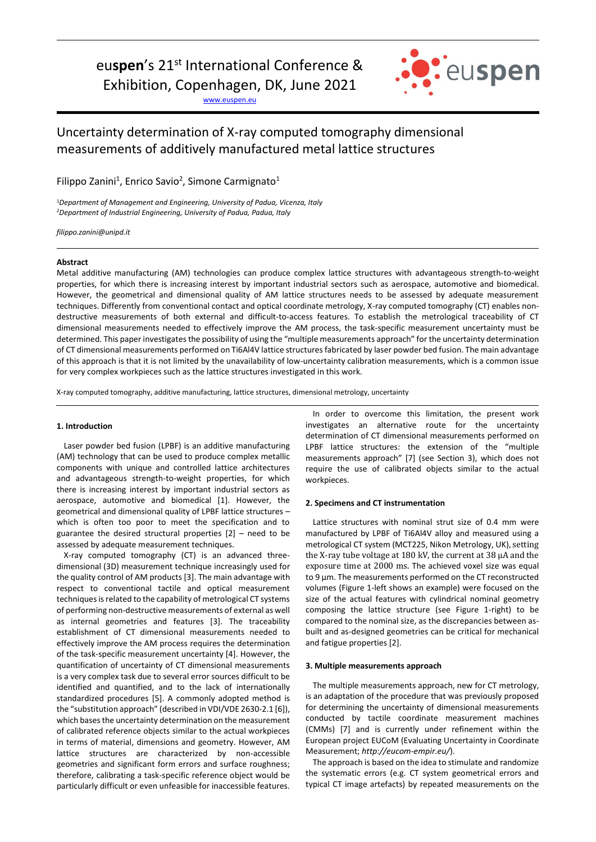# eu**spen**'s 21st International Conference &

Exhibition, Copenhagen, DK, June 2021

[www.euspen.eu](http://www.euspen.eu/)



## Uncertainty determination of X-ray computed tomography dimensional measurements of additively manufactured metal lattice structures

Filippo Zanini<sup>1</sup>, Enrico Savio<sup>2</sup>, Simone Carmignato<sup>1</sup>

<sup>1</sup>*Department of Management and Engineering, University of Padua, Vicenza, Italy <sup>2</sup>Department of Industrial Engineering, University of Padua, Padua, Italy* 

*filippo.zanini@unipd.it*

### **Abstract**

Metal additive manufacturing (AM) technologies can produce complex lattice structures with advantageous strength-to-weight properties, for which there is increasing interest by important industrial sectors such as aerospace, automotive and biomedical. However, the geometrical and dimensional quality of AM lattice structures needs to be assessed by adequate measurement techniques. Differently from conventional contact and optical coordinate metrology, X-ray computed tomography (CT) enables nondestructive measurements of both external and difficult-to-access features. To establish the metrological traceability of CT dimensional measurements needed to effectively improve the AM process, the task-specific measurement uncertainty must be determined. This paper investigatesthe possibility of using the "multiple measurements approach" for the uncertainty determination of CT dimensional measurements performed on Ti6Al4V lattice structuresfabricated by laser powder bed fusion. The main advantage of this approach is that it is not limited by the unavailability of low-uncertainty calibration measurements, which is a common issue for very complex workpieces such as the lattice structures investigated in this work.

X-ray computed tomography, additive manufacturing, lattice structures, dimensional metrology, uncertainty

#### **1. Introduction**

Laser powder bed fusion (LPBF) is an additive manufacturing (AM) technology that can be used to produce complex metallic components with unique and controlled lattice architectures and advantageous strength-to-weight properties, for which there is increasing interest by important industrial sectors as aerospace, automotive and biomedical [1]. However, the geometrical and dimensional quality of LPBF lattice structures – which is often too poor to meet the specification and to guarantee the desired structural properties [2] – need to be assessed by adequate measurement techniques.

X-ray computed tomography (CT) is an advanced threedimensional (3D) measurement technique increasingly used for the quality control of AM products [3]. The main advantage with respect to conventional tactile and optical measurement techniques is related to the capability of metrological CT systems of performing non-destructive measurements of external as well as internal geometries and features [3]. The traceability establishment of CT dimensional measurements needed to effectively improve the AM process requires the determination of the task-specific measurement uncertainty [4]. However, the quantification of uncertainty of CT dimensional measurements is a very complex task due to several error sources difficult to be identified and quantified, and to the lack of internationally standardized procedures [5]. A commonly adopted method is the "substitution approach" (described in VDI/VDE 2630-2.1 [6]), which bases the uncertainty determination on the measurement of calibrated reference objects similar to the actual workpieces in terms of material, dimensions and geometry. However, AM lattice structures are characterized by non-accessible geometries and significant form errors and surface roughness; therefore, calibrating a task-specific reference object would be particularly difficult or even unfeasible for inaccessible features.

In order to overcome this limitation, the present work investigates an alternative route for the uncertainty determination of CT dimensional measurements performed on LPBF lattice structures: the extension of the "multiple measurements approach" [7] (see Section 3), which does not require the use of calibrated objects similar to the actual workpieces.

#### **2. Specimens and CT instrumentation**

Lattice structures with nominal strut size of 0.4 mm were manufactured by LPBF of Ti6Al4V alloy and measured using a metrological CT system (MCT225, Nikon Metrology, UK), setting the X-ray tube voltage at 180 kV, the current at 38 µA and the exposure time at 2000 ms. The achieved voxel size was equal to 9 μm. The measurements performed on the CT reconstructed volumes (Figure 1-left shows an example) were focused on the size of the actual features with cylindrical nominal geometry composing the lattice structure (see Figure 1-right) to be compared to the nominal size, as the discrepancies between asbuilt and as-designed geometries can be critical for mechanical and fatigue properties [2].

#### **3. Multiple measurements approach**

The multiple measurements approach, new for CT metrology, is an adaptation of the procedure that was previously proposed for determining the uncertainty of dimensional measurements conducted by tactile coordinate measurement machines (CMMs) [7] and is currently under refinement within the European project EUCoM (Evaluating Uncertainty in Coordinate Measurement; *http://eucom-empir.eu/*).

The approach is based on the idea to stimulate and randomize the systematic errors (e.g. CT system geometrical errors and typical CT image artefacts) by repeated measurements on the